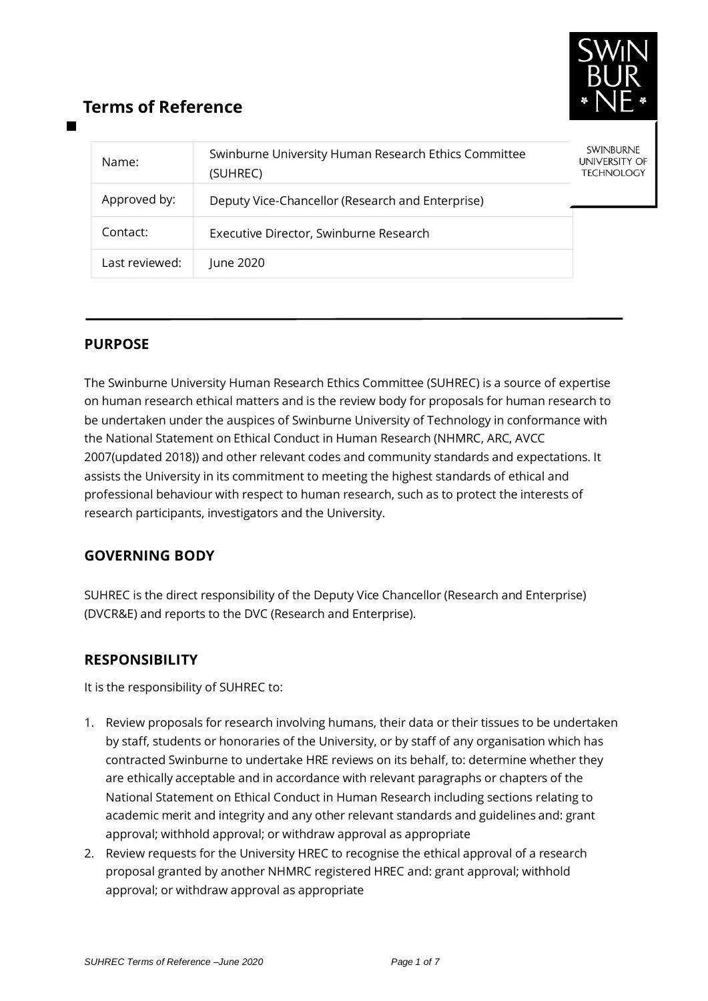

# **Terms of Reference**

| Name:          | Swinburne University Human Research Ethics Committee<br>(SUHREC) | <b>SWINBURNE</b><br>UNIVERSITY OF<br><b>TECHNOLOGY</b> |
|----------------|------------------------------------------------------------------|--------------------------------------------------------|
| Approved by:   | Deputy Vice-Chancellor (Research and Enterprise)                 |                                                        |
| Contact:       | Executive Director, Swinburne Research                           |                                                        |
| Last reviewed: | June 2020                                                        |                                                        |

# **PURPOSE**

The Swinburne University Human Research Ethics Committee (SUHREC) is a source of expertise on human research ethical matters and is the review body for proposals for human research to be undertaken under the auspices of Swinburne University of Technology in conformance with the National Statement on Ethical Conduct in Human Research (NHMRC, ARC, AVCC 2007(updated 2018)) and other relevant codes and community standards and expectations. It assists the University in its commitment to meeting the highest standards of ethical and professional behaviour with respect to human research, such as to protect the interests of research participants, investigators and the University.

# **GOVERNING BODY**

SUHREC is the direct responsibility of the Deputy Vice Chancellor (Research and Enterprise) (DVCR&E) and reports to the DVC (Research and Enterprise).

# **RESPONSIBILITY**

It is the responsibility of SUHREC to:

- 1. Review proposals for research involving humans, their data or their tissues to be undertaken by staff, students or honoraries of the University, or by staff of any organisation which has contracted Swinburne to undertake HRE reviews on its behalf, to: determine whether they are ethically acceptable and in accordance with relevant paragraphs or chapters of the National Statement on Ethical Conduct in Human Research including sections relating to academic merit and integrity and any other relevant standards and guidelines and: grant approval; withhold approval; or withdraw approval as appropriate
- 2. Review requests for the University HREC to recognise the ethical approval of a research proposal granted by another NHMRC registered HREC and: grant approval; withhold approval; or withdraw approval as appropriate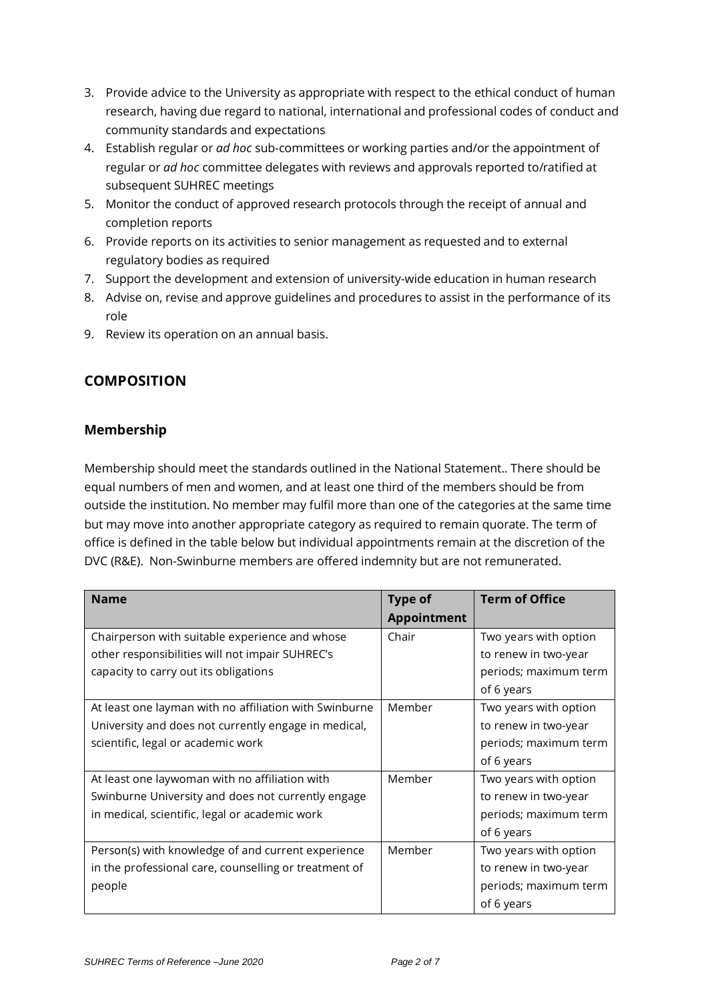- 3. Provide advice to the University as appropriate with respect to the ethical conduct of human research, having due regard to national, international and professional codes of conduct and community standards and expectations
- 4. Establish regular or *ad hoc* sub-committees or working parties and/or the appointment of regular or *ad hoc* committee delegates with reviews and approvals reported to/ratified at subsequent SUHREC meetings
- 5. Monitor the conduct of approved research protocols through the receipt of annual and completion reports
- 6. Provide reports on its activities to senior management as requested and to external regulatory bodies as required
- 7. Support the development and extension of university-wide education in human research
- 8. Advise on, revise and approve guidelines and procedures to assist in the performance of its role
- 9. Review its operation on an annual basis.

# **COMPOSITION**

#### **Membership**

Membership should meet the standards outlined in the National Statement.. There should be equal numbers of men and women, and at least one third of the members should be from outside the institution. No member may fulfil more than one of the categories at the same time but may move into another appropriate category as required to remain quorate. The term of office is defined in the table below but individual appointments remain at the discretion of the DVC (R&E). Non-Swinburne members are offered indemnity but are not remunerated.

| <b>Name</b>                                            | <b>Type of</b> | <b>Term of Office</b> |
|--------------------------------------------------------|----------------|-----------------------|
|                                                        | Appointment    |                       |
| Chairperson with suitable experience and whose         | Chair          | Two years with option |
| other responsibilities will not impair SUHREC's        |                | to renew in two-year  |
| capacity to carry out its obligations                  |                | periods; maximum term |
|                                                        |                | of 6 years            |
| At least one layman with no affiliation with Swinburne | Member         | Two years with option |
| University and does not currently engage in medical,   |                | to renew in two-year  |
| scientific, legal or academic work                     |                | periods; maximum term |
|                                                        |                | of 6 years            |
| At least one laywoman with no affiliation with         | Member         | Two years with option |
| Swinburne University and does not currently engage     |                | to renew in two-year  |
| in medical, scientific, legal or academic work         |                | periods; maximum term |
|                                                        |                | of 6 years            |
| Person(s) with knowledge of and current experience     | Member         | Two years with option |
| in the professional care, counselling or treatment of  |                | to renew in two-year  |
| people                                                 |                | periods; maximum term |
|                                                        |                | of 6 years            |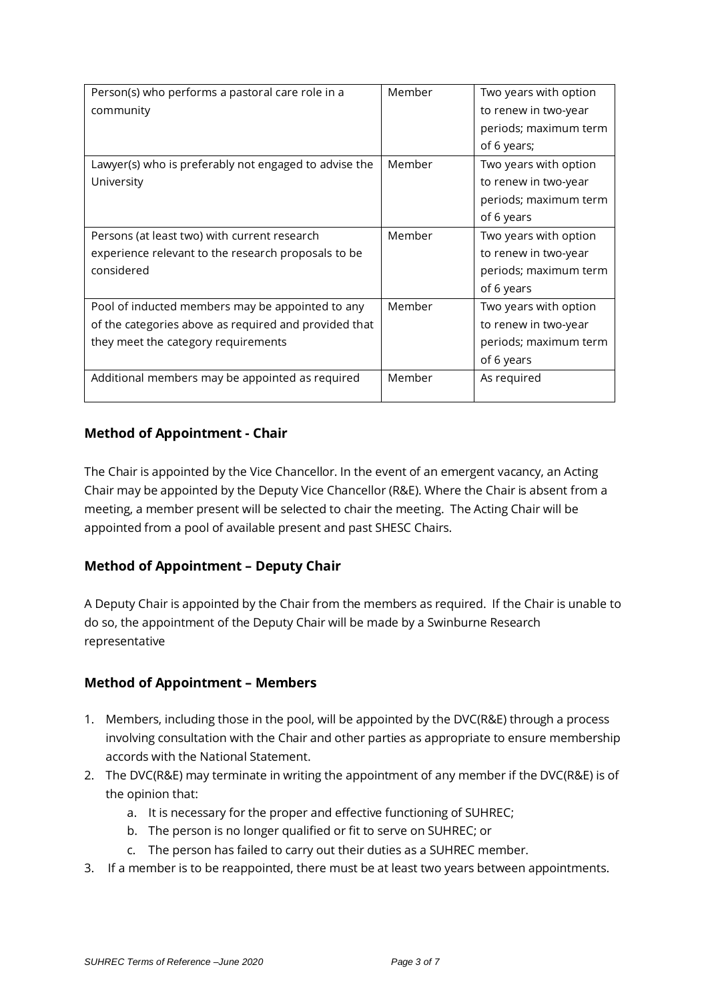| Person(s) who performs a pastoral care role in a      | Member | Two years with option |
|-------------------------------------------------------|--------|-----------------------|
| community                                             |        | to renew in two-year  |
|                                                       |        | periods; maximum term |
|                                                       |        | of 6 years;           |
| Lawyer(s) who is preferably not engaged to advise the | Member | Two years with option |
| University                                            |        | to renew in two-year  |
|                                                       |        | periods; maximum term |
|                                                       |        | of 6 years            |
| Persons (at least two) with current research          | Member | Two years with option |
| experience relevant to the research proposals to be   |        | to renew in two-year  |
| considered                                            |        | periods; maximum term |
|                                                       |        | of 6 years            |
| Pool of inducted members may be appointed to any      | Member | Two years with option |
| of the categories above as required and provided that |        | to renew in two-year  |
| they meet the category requirements                   |        | periods; maximum term |
|                                                       |        | of 6 years            |
| Additional members may be appointed as required       | Member | As required           |
|                                                       |        |                       |

#### **Method of Appointment - Chair**

The Chair is appointed by the Vice Chancellor. In the event of an emergent vacancy, an Acting Chair may be appointed by the Deputy Vice Chancellor (R&E). Where the Chair is absent from a meeting, a member present will be selected to chair the meeting. The Acting Chair will be appointed from a pool of available present and past SHESC Chairs.

# **Method of Appointment – Deputy Chair**

A Deputy Chair is appointed by the Chair from the members as required. If the Chair is unable to do so, the appointment of the Deputy Chair will be made by a Swinburne Research representative

#### **Method of Appointment – Members**

- 1. Members, including those in the pool, will be appointed by the DVC(R&E) through a process involving consultation with the Chair and other parties as appropriate to ensure membership accords with the National Statement.
- 2. The DVC(R&E) may terminate in writing the appointment of any member if the DVC(R&E) is of the opinion that:
	- a. It is necessary for the proper and effective functioning of SUHREC;
	- b. The person is no longer qualified or fit to serve on SUHREC; or
	- c. The person has failed to carry out their duties as a SUHREC member.
- 3. If a member is to be reappointed, there must be at least two years between appointments.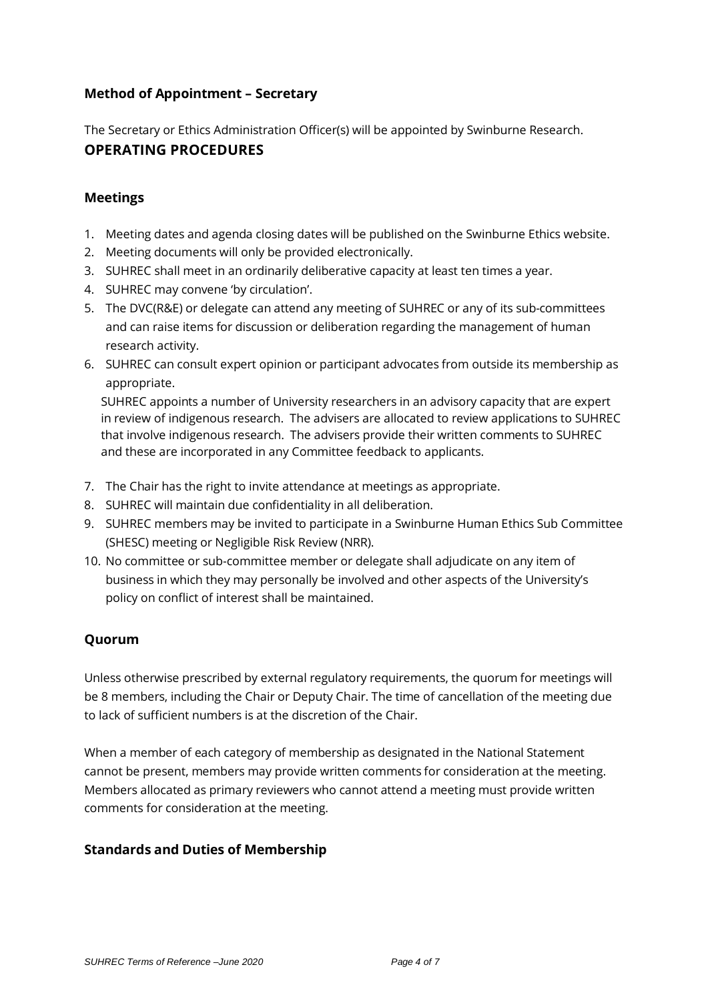#### **Method of Appointment – Secretary**

The Secretary or Ethics Administration Officer(s) will be appointed by Swinburne Research.

# **OPERATING PROCEDURES**

#### **Meetings**

- 1. Meeting dates and agenda closing dates will be published on the Swinburne Ethics website.
- 2. Meeting documents will only be provided electronically.
- 3. SUHREC shall meet in an ordinarily deliberative capacity at least ten times a year.
- 4. SUHREC may convene 'by circulation'.
- 5. The DVC(R&E) or delegate can attend any meeting of SUHREC or any of its sub-committees and can raise items for discussion or deliberation regarding the management of human research activity.
- 6. SUHREC can consult expert opinion or participant advocates from outside its membership as appropriate.

SUHREC appoints a number of University researchers in an advisory capacity that are expert in review of indigenous research. The advisers are allocated to review applications to SUHREC that involve indigenous research. The advisers provide their written comments to SUHREC and these are incorporated in any Committee feedback to applicants.

- 7. The Chair has the right to invite attendance at meetings as appropriate.
- 8. SUHREC will maintain due confidentiality in all deliberation.
- 9. SUHREC members may be invited to participate in a Swinburne Human Ethics Sub Committee (SHESC) meeting or Negligible Risk Review (NRR).
- 10. No committee or sub-committee member or delegate shall adjudicate on any item of business in which they may personally be involved and other aspects of the University's policy on conflict of interest shall be maintained.

# **Quorum**

Unless otherwise prescribed by external regulatory requirements, the quorum for meetings will be 8 members, including the Chair or Deputy Chair. The time of cancellation of the meeting due to lack of sufficient numbers is at the discretion of the Chair.

When a member of each category of membership as designated in the National Statement cannot be present, members may provide written comments for consideration at the meeting. Members allocated as primary reviewers who cannot attend a meeting must provide written comments for consideration at the meeting.

# **Standards and Duties of Membership**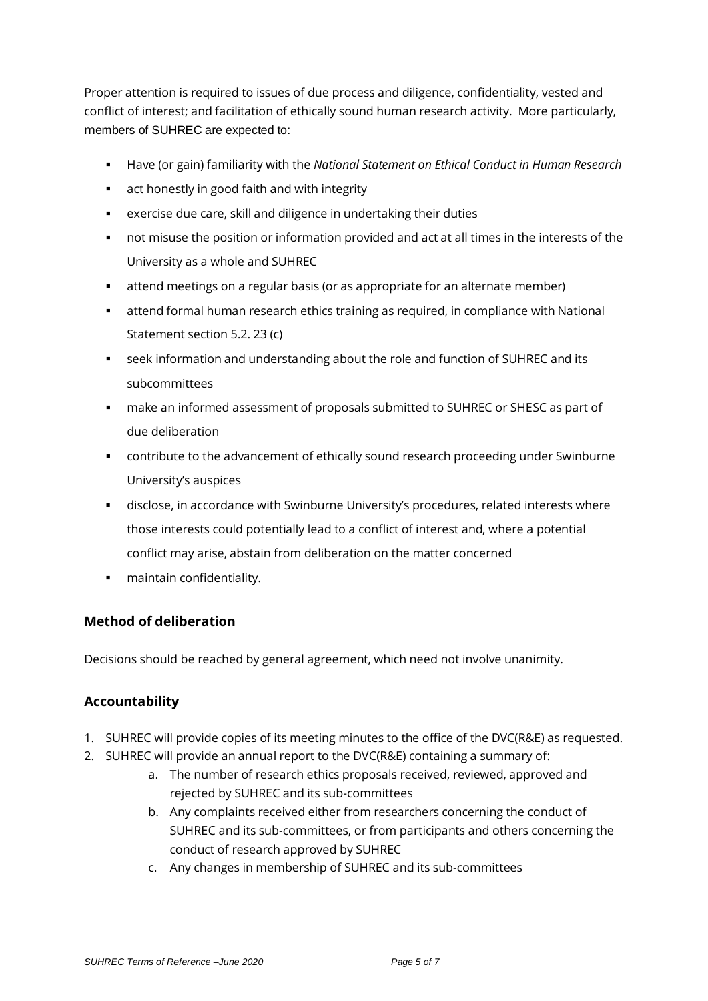Proper attention is required to issues of due process and diligence, confidentiality, vested and conflict of interest; and facilitation of ethically sound human research activity. More particularly, members of SUHREC are expected to:

- Have (or gain) familiarity with the *National Statement on Ethical Conduct in Human Research*
- **EXECT** act honestly in good faith and with integrity
- exercise due care, skill and diligence in undertaking their duties
- not misuse the position or information provided and act at all times in the interests of the University as a whole and SUHREC
- attend meetings on a regular basis (or as appropriate for an alternate member)
- attend formal human research ethics training as required, in compliance with National Statement section 5.2. 23 (c)
- seek information and understanding about the role and function of SUHREC and its subcommittees
- make an informed assessment of proposals submitted to SUHREC or SHESC as part of due deliberation
- contribute to the advancement of ethically sound research proceeding under Swinburne University's auspices
- disclose, in accordance with Swinburne University's procedures, related interests where those interests could potentially lead to a conflict of interest and, where a potential conflict may arise, abstain from deliberation on the matter concerned
- **•** maintain confidentiality.

#### **Method of deliberation**

Decisions should be reached by general agreement, which need not involve unanimity.

# **Accountability**

- 1. SUHREC will provide copies of its meeting minutes to the office of the DVC(R&E) as requested.
- 2. SUHREC will provide an annual report to the DVC(R&E) containing a summary of:
	- a. The number of research ethics proposals received, reviewed, approved and rejected by SUHREC and its sub-committees
	- b. Any complaints received either from researchers concerning the conduct of SUHREC and its sub-committees, or from participants and others concerning the conduct of research approved by SUHREC
	- c. Any changes in membership of SUHREC and its sub-committees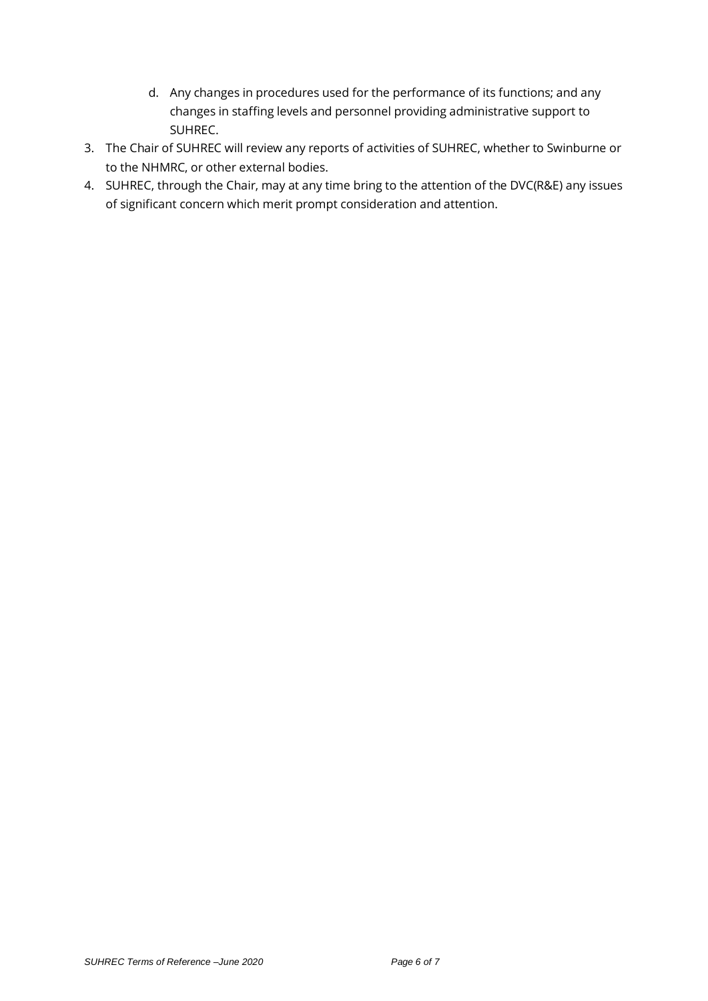- d. Any changes in procedures used for the performance of its functions; and any changes in staffing levels and personnel providing administrative support to SUHREC.
- 3. The Chair of SUHREC will review any reports of activities of SUHREC, whether to Swinburne or to the NHMRC, or other external bodies.
- 4. SUHREC, through the Chair, may at any time bring to the attention of the DVC(R&E) any issues of significant concern which merit prompt consideration and attention.